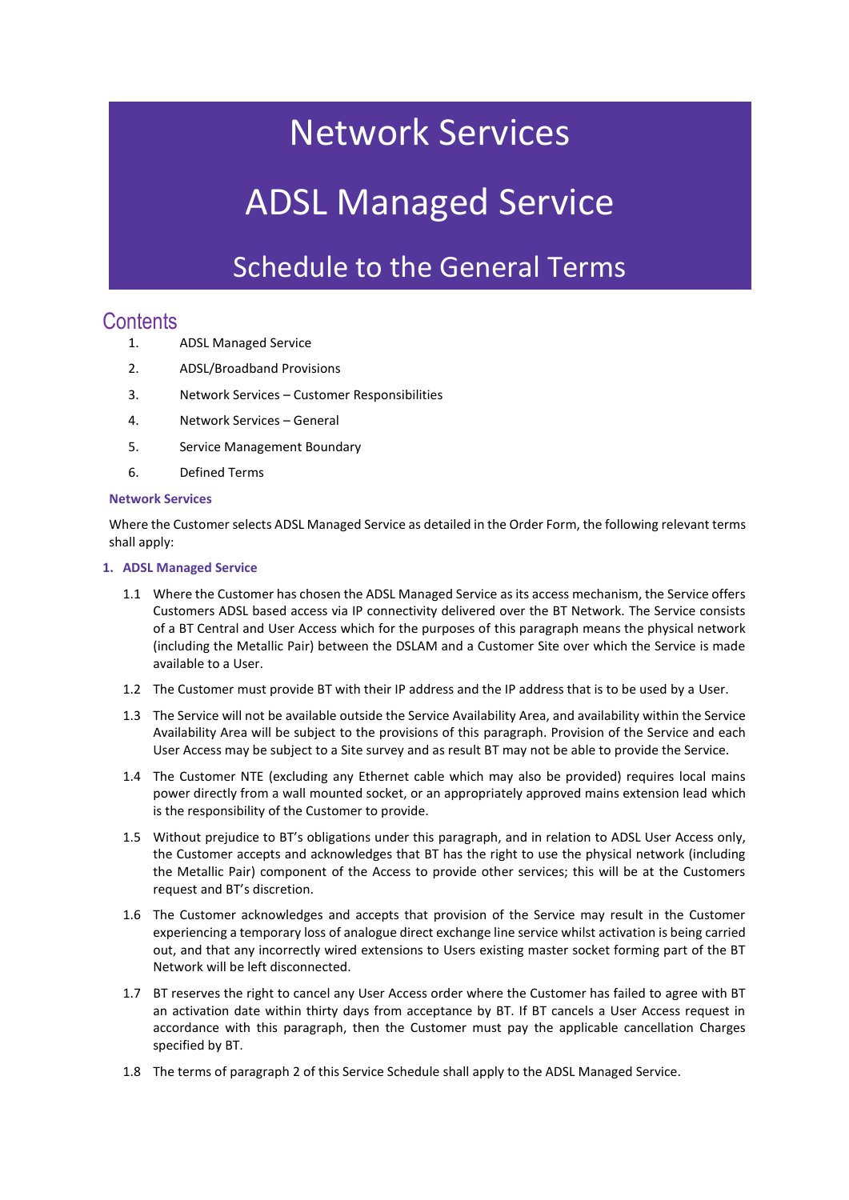## Network Services

# ADSL Managed Service

### Schedule to the General Terms

### **Contents**

- 1. ADSL Managed Service
- 2. ADSL/Broadband Provisions
- 3. Network Services Customer Responsibilities
- 4. Network Services General
- 5. Service Management Boundary
- 6. Defined Terms

#### **Network Services**

Where the Customer selects ADSL Managed Service as detailed in the Order Form, the following relevant terms shall apply:

#### **1. ADSL Managed Service**

- 1.1 Where the Customer has chosen the ADSL Managed Service as its access mechanism, the Service offers Customers ADSL based access via IP connectivity delivered over the BT Network. The Service consists of a BT Central and User Access which for the purposes of this paragraph means the physical network (including the Metallic Pair) between the DSLAM and a Customer Site over which the Service is made available to a User.
- 1.2 The Customer must provide BT with their IP address and the IP address that is to be used by a User.
- 1.3 The Service will not be available outside the Service Availability Area, and availability within the Service Availability Area will be subject to the provisions of this paragraph. Provision of the Service and each User Access may be subject to a Site survey and as result BT may not be able to provide the Service.
- 1.4 The Customer NTE (excluding any Ethernet cable which may also be provided) requires local mains power directly from a wall mounted socket, or an appropriately approved mains extension lead which is the responsibility of the Customer to provide.
- 1.5 Without prejudice to BT's obligations under this paragraph, and in relation to ADSL User Access only, the Customer accepts and acknowledges that BT has the right to use the physical network (including the Metallic Pair) component of the Access to provide other services; this will be at the Customers request and BT's discretion.
- 1.6 The Customer acknowledges and accepts that provision of the Service may result in the Customer experiencing a temporary loss of analogue direct exchange line service whilst activation is being carried out, and that any incorrectly wired extensions to Users existing master socket forming part of the BT Network will be left disconnected.
- 1.7 BT reserves the right to cancel any User Access order where the Customer has failed to agree with BT an activation date within thirty days from acceptance by BT. If BT cancels a User Access request in accordance with this paragraph, then the Customer must pay the applicable cancellation Charges specified by BT.
- 1.8 The terms of paragraph 2 of this Service Schedule shall apply to the ADSL Managed Service.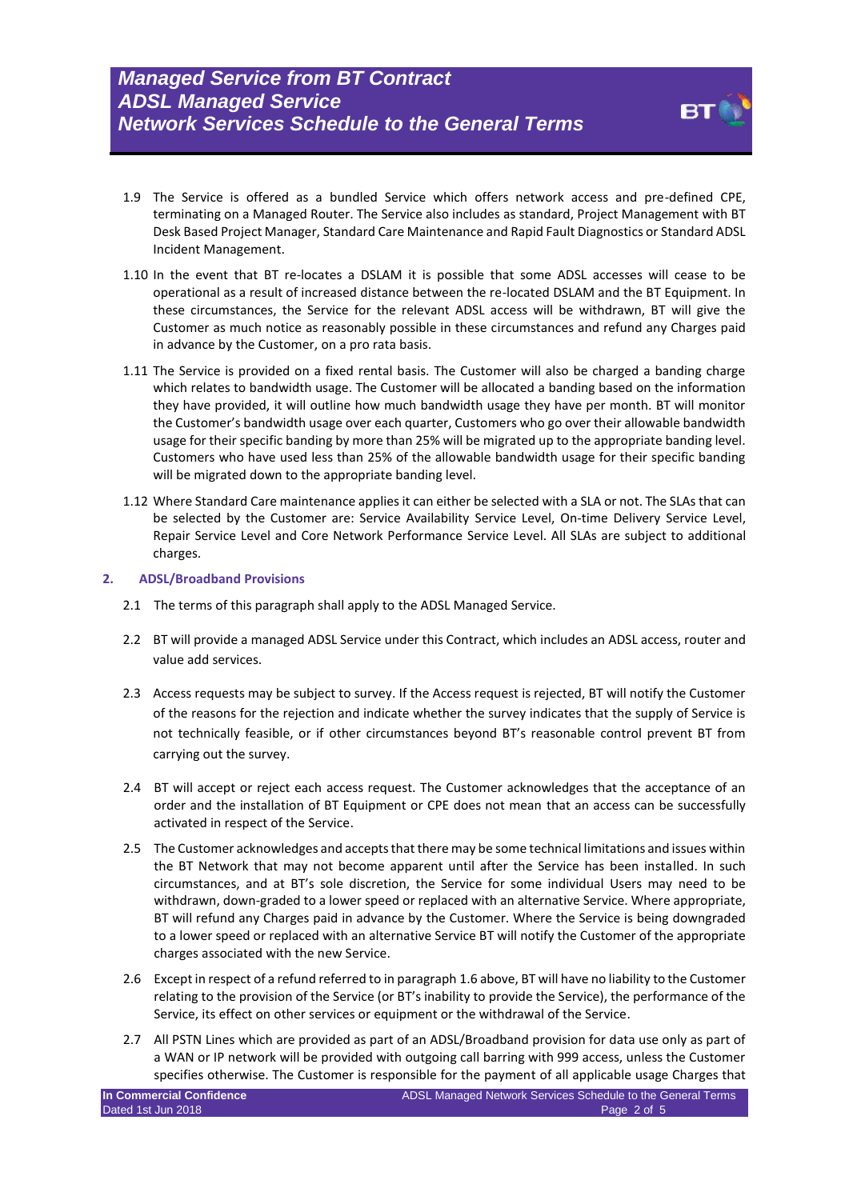- 
- 1.9 The Service is offered as a bundled Service which offers network access and pre-defined CPE, terminating on a Managed Router. The Service also includes as standard, Project Management with BT Desk Based Project Manager, Standard Care Maintenance and Rapid Fault Diagnostics or Standard ADSL Incident Management.
- 1.10 In the event that BT re-locates a DSLAM it is possible that some ADSL accesses will cease to be operational as a result of increased distance between the re-located DSLAM and the BT Equipment. In these circumstances, the Service for the relevant ADSL access will be withdrawn, BT will give the Customer as much notice as reasonably possible in these circumstances and refund any Charges paid in advance by the Customer, on a pro rata basis.
- 1.11 The Service is provided on a fixed rental basis. The Customer will also be charged a banding charge which relates to bandwidth usage. The Customer will be allocated a banding based on the information they have provided, it will outline how much bandwidth usage they have per month. BT will monitor the Customer's bandwidth usage over each quarter, Customers who go over their allowable bandwidth usage for their specific banding by more than 25% will be migrated up to the appropriate banding level. Customers who have used less than 25% of the allowable bandwidth usage for their specific banding will be migrated down to the appropriate banding level.
- 1.12 Where Standard Care maintenance applies it can either be selected with a SLA or not. The SLAs that can be selected by the Customer are: Service Availability Service Level, On-time Delivery Service Level, Repair Service Level and Core Network Performance Service Level. All SLAs are subject to additional charges.

#### **2. ADSL/Broadband Provisions**

- 2.1 The terms of this paragraph shall apply to the ADSL Managed Service.
- 2.2 BT will provide a managed ADSL Service under this Contract, which includes an ADSL access, router and value add services.
- 2.3 Access requests may be subject to survey. If the Access request is rejected, BT will notify the Customer of the reasons for the rejection and indicate whether the survey indicates that the supply of Service is not technically feasible, or if other circumstances beyond BT's reasonable control prevent BT from carrying out the survey.
- 2.4 BT will accept or reject each access request. The Customer acknowledges that the acceptance of an order and the installation of BT Equipment or CPE does not mean that an access can be successfully activated in respect of the Service.
- 2.5 The Customer acknowledges and accepts that there may be some technical limitations and issues within the BT Network that may not become apparent until after the Service has been installed. In such circumstances, and at BT's sole discretion, the Service for some individual Users may need to be withdrawn, down-graded to a lower speed or replaced with an alternative Service. Where appropriate, BT will refund any Charges paid in advance by the Customer. Where the Service is being downgraded to a lower speed or replaced with an alternative Service BT will notify the Customer of the appropriate charges associated with the new Service.
- 2.6 Except in respect of a refund referred to in paragraph 1.6 above, BT will have no liability to the Customer relating to the provision of the Service (or BT's inability to provide the Service), the performance of the Service, its effect on other services or equipment or the withdrawal of the Service.
- 2.7 All PSTN Lines which are provided as part of an ADSL/Broadband provision for data use only as part of a WAN or IP network will be provided with outgoing call barring with 999 access, unless the Customer specifies otherwise. The Customer is responsible for the payment of all applicable usage Charges that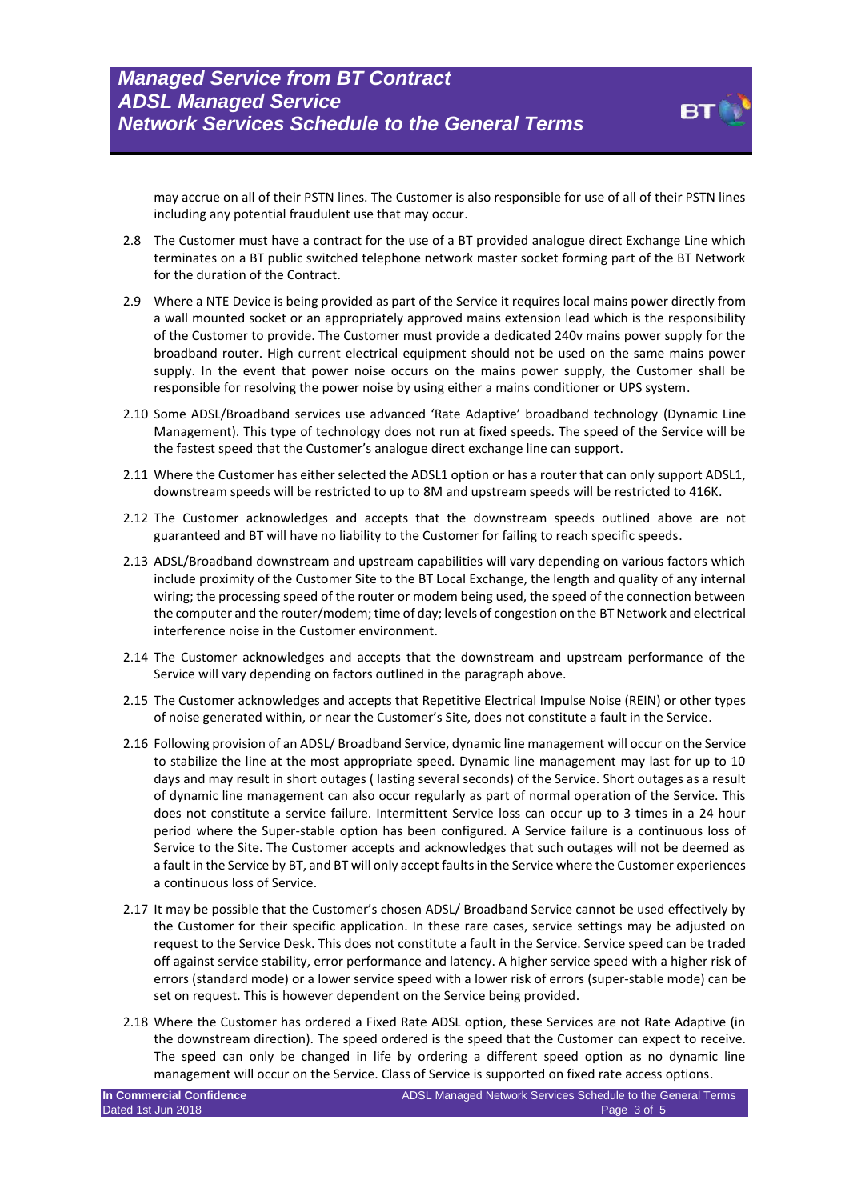including any potential fraudulent use that may occur.

may accrue on all of their PSTN lines. The Customer is also responsible for use of all of their PSTN lines

- 2.8 The Customer must have a contract for the use of a BT provided analogue direct Exchange Line which terminates on a BT public switched telephone network master socket forming part of the BT Network for the duration of the Contract.
- 2.9 Where a NTE Device is being provided as part of the Service it requires local mains power directly from a wall mounted socket or an appropriately approved mains extension lead which is the responsibility of the Customer to provide. The Customer must provide a dedicated 240v mains power supply for the broadband router. High current electrical equipment should not be used on the same mains power supply. In the event that power noise occurs on the mains power supply, the Customer shall be responsible for resolving the power noise by using either a mains conditioner or UPS system.
- 2.10 Some ADSL/Broadband services use advanced 'Rate Adaptive' broadband technology (Dynamic Line Management). This type of technology does not run at fixed speeds. The speed of the Service will be the fastest speed that the Customer's analogue direct exchange line can support.
- 2.11 Where the Customer has either selected the ADSL1 option or has a router that can only support ADSL1, downstream speeds will be restricted to up to 8M and upstream speeds will be restricted to 416K.
- 2.12 The Customer acknowledges and accepts that the downstream speeds outlined above are not guaranteed and BT will have no liability to the Customer for failing to reach specific speeds.
- 2.13 ADSL/Broadband downstream and upstream capabilities will vary depending on various factors which include proximity of the Customer Site to the BT Local Exchange, the length and quality of any internal wiring; the processing speed of the router or modem being used, the speed of the connection between the computer and the router/modem; time of day; levels of congestion on the BT Network and electrical interference noise in the Customer environment.
- 2.14 The Customer acknowledges and accepts that the downstream and upstream performance of the Service will vary depending on factors outlined in the paragraph above.
- 2.15 The Customer acknowledges and accepts that Repetitive Electrical Impulse Noise (REIN) or other types of noise generated within, or near the Customer's Site, does not constitute a fault in the Service.
- 2.16 Following provision of an ADSL/ Broadband Service, dynamic line management will occur on the Service to stabilize the line at the most appropriate speed. Dynamic line management may last for up to 10 days and may result in short outages ( lasting several seconds) of the Service. Short outages as a result of dynamic line management can also occur regularly as part of normal operation of the Service. This does not constitute a service failure. Intermittent Service loss can occur up to 3 times in a 24 hour period where the Super-stable option has been configured. A Service failure is a continuous loss of Service to the Site. The Customer accepts and acknowledges that such outages will not be deemed as a fault in the Service by BT, and BT will only accept faults in the Service where the Customer experiences a continuous loss of Service.
- 2.17 It may be possible that the Customer's chosen ADSL/ Broadband Service cannot be used effectively by the Customer for their specific application. In these rare cases, service settings may be adjusted on request to the Service Desk. This does not constitute a fault in the Service. Service speed can be traded off against service stability, error performance and latency. A higher service speed with a higher risk of errors (standard mode) or a lower service speed with a lower risk of errors (super-stable mode) can be set on request. This is however dependent on the Service being provided.
- 2.18 Where the Customer has ordered a Fixed Rate ADSL option, these Services are not Rate Adaptive (in the downstream direction). The speed ordered is the speed that the Customer can expect to receive. The speed can only be changed in life by ordering a different speed option as no dynamic line management will occur on the Service. Class of Service is supported on fixed rate access options.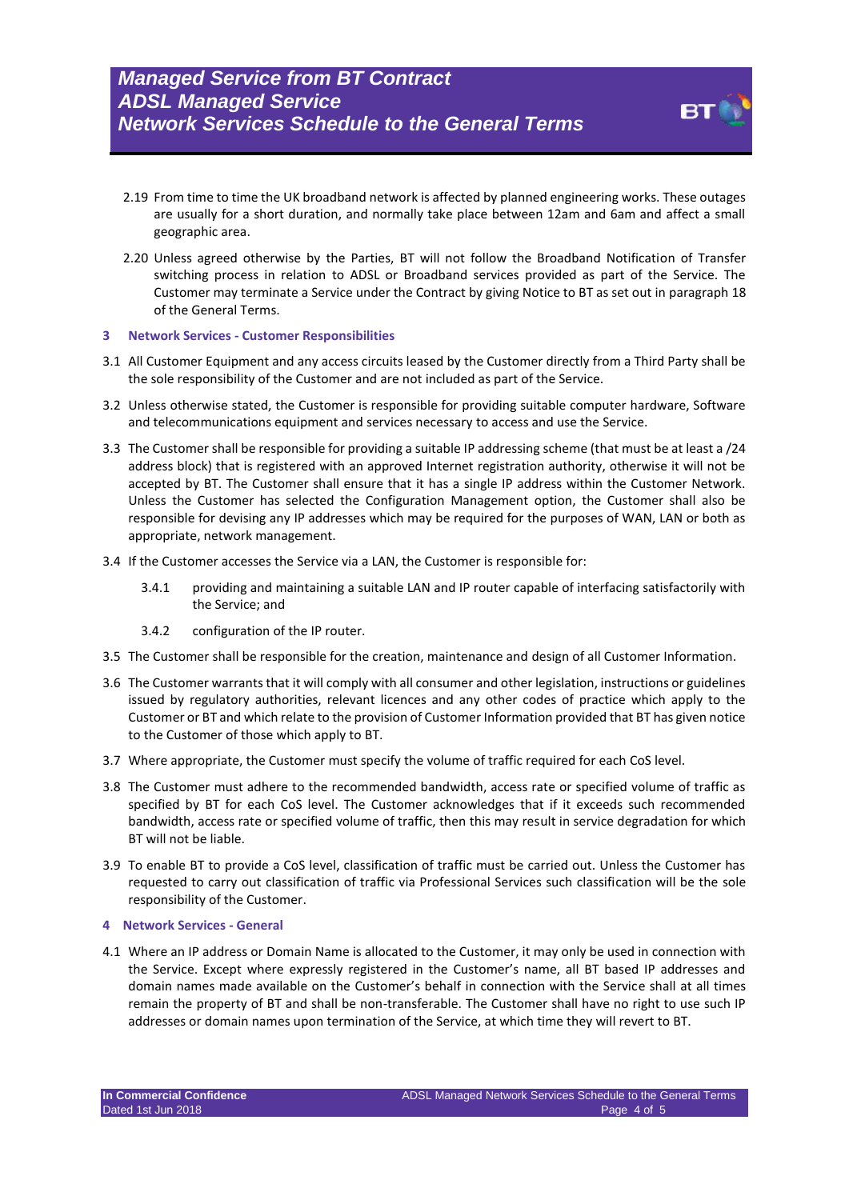- 2.19 From time to time the UK broadband network is affected by planned engineering works. These outages are usually for a short duration, and normally take place between 12am and 6am and affect a small geographic area.
- 2.20 Unless agreed otherwise by the Parties, BT will not follow the Broadband Notification of Transfer switching process in relation to ADSL or Broadband services provided as part of the Service. The Customer may terminate a Service under the Contract by giving Notice to BT as set out in paragraph 18 of the General Terms.

#### **3 Network Services - Customer Responsibilities**

- 3.1 All Customer Equipment and any access circuits leased by the Customer directly from a Third Party shall be the sole responsibility of the Customer and are not included as part of the Service.
- 3.2 Unless otherwise stated, the Customer is responsible for providing suitable computer hardware, Software and telecommunications equipment and services necessary to access and use the Service.
- 3.3 The Customer shall be responsible for providing a suitable IP addressing scheme (that must be at least a /24 address block) that is registered with an approved Internet registration authority, otherwise it will not be accepted by BT. The Customer shall ensure that it has a single IP address within the Customer Network. Unless the Customer has selected the Configuration Management option, the Customer shall also be responsible for devising any IP addresses which may be required for the purposes of WAN, LAN or both as appropriate, network management.
- 3.4 If the Customer accesses the Service via a LAN, the Customer is responsible for:
	- 3.4.1 providing and maintaining a suitable LAN and IP router capable of interfacing satisfactorily with the Service; and
	- 3.4.2 configuration of the IP router.
- 3.5 The Customer shall be responsible for the creation, maintenance and design of all Customer Information.
- 3.6 The Customer warrants that it will comply with all consumer and other legislation, instructions or guidelines issued by regulatory authorities, relevant licences and any other codes of practice which apply to the Customer or BT and which relate to the provision of Customer Information provided that BT has given notice to the Customer of those which apply to BT.
- 3.7 Where appropriate, the Customer must specify the volume of traffic required for each CoS level.
- 3.8 The Customer must adhere to the recommended bandwidth, access rate or specified volume of traffic as specified by BT for each CoS level. The Customer acknowledges that if it exceeds such recommended bandwidth, access rate or specified volume of traffic, then this may result in service degradation for which BT will not be liable.
- 3.9 To enable BT to provide a CoS level, classification of traffic must be carried out. Unless the Customer has requested to carry out classification of traffic via Professional Services such classification will be the sole responsibility of the Customer.

#### **4 Network Services - General**

4.1 Where an IP address or Domain Name is allocated to the Customer, it may only be used in connection with the Service. Except where expressly registered in the Customer's name, all BT based IP addresses and domain names made available on the Customer's behalf in connection with the Service shall at all times remain the property of BT and shall be non-transferable. The Customer shall have no right to use such IP addresses or domain names upon termination of the Service, at which time they will revert to BT.